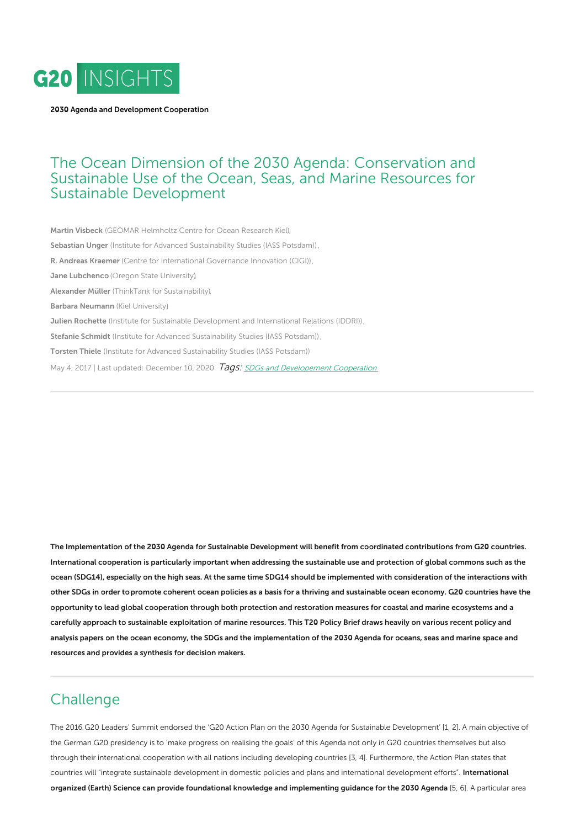

2030 Agenda and [Development](https://www.g20-insights.org/policy_area/g20-support-sustainable-development/) Cooperation

## The Ocean Dimension of the 2030 Agenda: Conservation and Sustainable Use of the Ocean, Seas, and Marine Resources for Sustainable Development

Martin [Visbeck](https://www.g20-insights.org/authors/martin-visbeck/) (GEOMAR [Helmholtz](https://www.g20-insights.org/think_tanks/geomar-helmholtz-centre-ocean-research-kiel/) Centre for Ocean Research Kiel), [Sebastian](https://www.g20-insights.org/authors/sebastian-unger/) Unger (Institute for Advanced [Sustainability](https://www.g20-insights.org/think_tanks/iass-potsdam/) Studies (IASS Potsdam)), R. [Andreas](https://www.g20-insights.org/authors/r-andreas-kraemer/) Kraemer (Centre for [International](https://www.g20-insights.org/think_tanks/centre-international-governance-innovation/) Governance Innovation (CIGI)), **Jane [Lubchenco](https://www.g20-insights.org/authors/jane-lubchenco/)** (Oregon State [University\),](https://www.g20-insights.org/think_tanks/oregon-state-university/) [Alexander](https://www.g20-insights.org/authors/alexander-muller/) Müller (ThinkTank for [Sustainability\),](https://www.g20-insights.org/think_tanks/thinktank-for-sustainability/) Barbara [Neumann](https://www.g20-insights.org/authors/barbara-neumann/) (Kiel [University\),](https://www.g20-insights.org/think_tanks/kiel-university/) **Julien [Rochette](https://www.g20-insights.org/authors/julian-rochette/)** (Institute for Sustainable [Development](https://www.g20-insights.org/think_tanks/institute-sustainable-development-international-relations-iddri/) and International Relations (IDDRI)), Stefanie [Schmidt](https://www.g20-insights.org/authors/stefanie-schmidt/) (Institute for Advanced [Sustainability](https://www.g20-insights.org/think_tanks/iass-potsdam/) Studies (IASS Potsdam)), [Torsten](https://www.g20-insights.org/authors/torsten-thiele/) Thiele (Institute for Advanced [Sustainability](https://www.g20-insights.org/think_tanks/iass-potsdam/) Studies (IASS Potsdam)) May 4, 2017 | Last updated: December 10, 2020 *Tags: SDGs and [Developement](/tag/sdgs-and-developement-cooperation) Cooperation* 

The Implementation of the 2030 Agenda for Sustainable Development will benefit from coordinated contributions from G20 countries. International cooperation is particularly important when addressing the sustainable use and protection of global commons such as the ocean (SDG14), especially on the high seas. At the same time SDG14 should be implemented with consideration of the interactions with other SDGs in order topromote coherent ocean policies as a basis for a thriving and sustainable ocean economy. G20 countries have the opportunity to lead global cooperation through both protection and restoration measures for coastal and marine ecosystems and a carefully approach to sustainable exploitation of marine resources. This T20 Policy Brief draws heavily on various recent policy and analysis papers on the ocean economy, the SDGs and the implementation of the 2030 Agenda for oceans, seas and marine space and resources and provides a synthesis for decision makers.

# **Challenge**

The 2016 G20 Leaders' Summit endorsed the 'G20 Action Plan on the 2030 Agenda for Sustainable Development' [1, 2]. A main objective of the German G20 presidency is to 'make progress on realising the goals' of this Agenda not only in G20 countries themselves but also through their international cooperation with all nations including developing countries [3, 4]. Furthermore, the Action Plan states that countries will "integrate sustainable development in domestic policies and plans and international development efforts". International organized (Earth) Science can provide foundational knowledge and implementing guidance for the 2030 Agenda [5, 6]. A particular area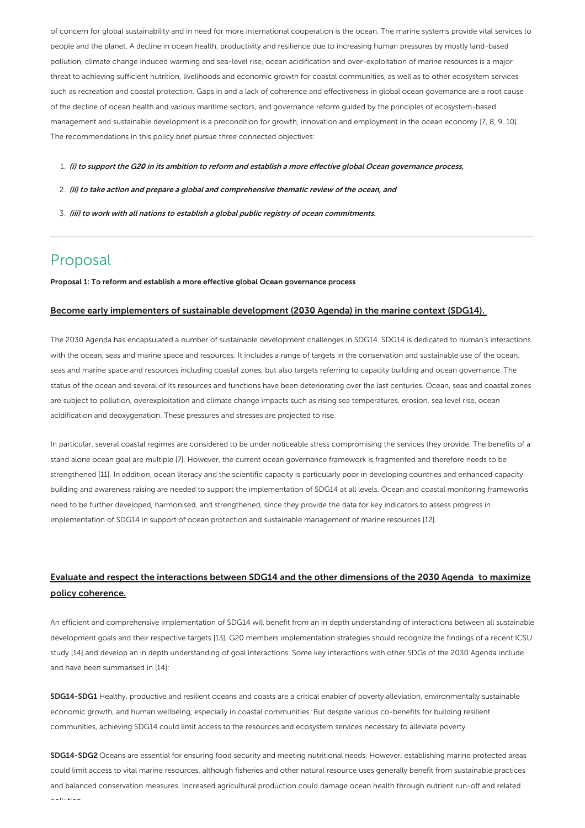of concern for global sustainability and in need for more international cooperation is the ocean. The marine systems provide vital services to people and the planet. A decline in ocean health, productivity and resilience due to increasing human pressures by mostly land-based pollution, climate change induced warming and sea-level rise, ocean acidification and over-exploitation of marine resources is a major threat to achieving sufficient nutrition, livelihoods and economic growth for coastal communities, as well as to other ecosystem services such as recreation and coastal protection. Gaps in and a lack of coherence and effectiveness in global ocean governance are a root cause of the decline of ocean health and various maritime sectors, and governance reform guided by the principles of ecosystem-based management and sustainable development is a precondition for growth, innovation and employment in the ocean economy [7, 8, 9, 10]. The recommendations in this policy brief pursue three connected objectives:

- 1. (i) to support the G20 in its ambition to reform and establish <sup>a</sup> more effective global Ocean governance process,
- 2. (ii) to take action and prepare <sup>a</sup> global and comprehensive thematic review of the ocean, and
- 3. (iii) to work with all nations to establish <sup>a</sup> global public registry of ocean commitments.

# Proposal

Proposal 1: To reform and establish a more effective global Ocean governance process

#### Become early implementers of sustainable development (2030 Agenda) in the marine context (SDG14).

The 2030 Agenda has encapsulated a number of sustainable development challenges in SDG14. SDG14 is dedicated to human's interactions with the ocean, seas and marine space and resources. It includes a range of targets in the conservation and sustainable use of the ocean, seas and marine space and resources including coastal zones, but also targets referring to capacity building and ocean governance. The status of the ocean and several of its resources and functions have been deteriorating over the last centuries. Ocean, seas and coastal zones are subject to pollution, overexploitation and climate change impacts such as rising sea temperatures, erosion, sea level rise, ocean acidification and deoxygenation. These pressures and stresses are projected to rise.

In particular, several coastal regimes are considered to be under noticeable stress compromising the services they provide. The benefits of a stand alone ocean goal are multiple [7]. However, the current ocean governance framework is fragmented and therefore needs to be strengthened [11]. In addition, ocean literacy and the scientific capacity is particularly poor in developing countries and enhanced capacity building and awareness raising are needed to support the implementation of SDG14 at all levels. Ocean and coastal monitoring frameworks need to be further developed, harmonised, and strengthened, since they provide the data for key indicators to assess progress in implementation of SDG14 in support of ocean protection and sustainable management of marine resources [12].

### Evaluate and respect the interactions between SDG14 and the other dimensions of the 2030 Agenda to maximize policy coherence.

An efficient and comprehensive implementation of SDG14 will benefit from an in depth understanding of interactions between all sustainable development goals and their respective targets [13]. G20 members implementation strategies should recognize the findings of a recent ICSU study [14] and develop an in depth understanding of goal interactions. Some key interactions with other SDGs of the 2030 Agenda include and have been summarised in [14]:

SDG14-SDG1 Healthy, productive and resilient oceans and coasts are a critical enabler of poverty alleviation, environmentally sustainable economic growth, and human wellbeing, especially in coastal communities. But despite various co-benefits for building resilient communities, achieving SDG14 could limit access to the resources and ecosystem services necessary to alleviate poverty.

SDG14-SDG2 Oceans are essential for ensuring food security and meeting nutritional needs. However, establishing marine protected areas could limit access to vital marine resources, although fisheries and other natural resource uses generally benefit from sustainable practices and balanced conservation measures. Increased agricultural production could damage ocean health through nutrient run-off and related pollution.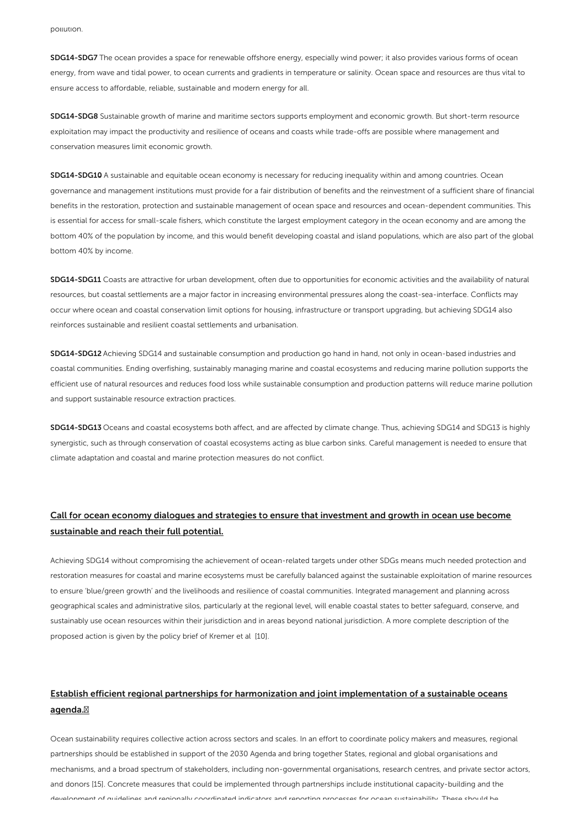SDG14-SDG7 The ocean provides a space for renewable offshore energy, especially wind power; it also provides various forms of ocean energy, from wave and tidal power, to ocean currents and gradients in temperature or salinity. Ocean space and resources are thus vital to ensure access to affordable, reliable, sustainable and modern energy for all.

SDG14-SDG8 Sustainable growth of marine and maritime sectors supports employment and economic growth. But short-term resource exploitation may impact the productivity and resilience of oceans and coasts while trade-offs are possible where management and conservation measures limit economic growth.

SDG14-SDG10 A sustainable and equitable ocean economy is necessary for reducing inequality within and among countries. Ocean governance and management institutions must provide for a fair distribution of benefits and the reinvestment of a sufficient share of financial benefits in the restoration, protection and sustainable management of ocean space and resources and ocean-dependent communities. This is essential for access for small-scale fishers, which constitute the largest employment category in the ocean economy and are among the bottom 40% of the population by income, and this would benefit developing coastal and island populations, which are also part of the global bottom 40% by income.

SDG14-SDG11 Coasts are attractive for urban development, often due to opportunities for economic activities and the availability of natural resources, but coastal settlements are a major factor in increasing environmental pressures along the coast-sea-interface. Conflicts may occur where ocean and coastal conservation limit options for housing, infrastructure or transport upgrading, but achieving SDG14 also reinforces sustainable and resilient coastal settlements and urbanisation.

SDG14-SDG12 Achieving SDG14 and sustainable consumption and production go hand in hand, not only in ocean-based industries and coastal communities. Ending overfishing, sustainably managing marine and coastal ecosystems and reducing marine pollution supports the efficient use of natural resources and reduces food loss while sustainable consumption and production patterns will reduce marine pollution and support sustainable resource extraction practices.

SDG14-SDG13 Oceans and coastal ecosystems both affect, and are affected by climate change. Thus, achieving SDG14 and SDG13 is highly synergistic, such as through conservation of coastal ecosystems acting as blue carbon sinks. Careful management is needed to ensure that climate adaptation and coastal and marine protection measures do not conflict.

### Call for ocean economy dialogues and strategies to ensure that investment and growth in ocean use become sustainable and reach their full potential.

Achieving SDG14 without compromising the achievement of ocean-related targets under other SDGs means much needed protection and restoration measures for coastal and marine ecosystems must be carefully balanced against the sustainable exploitation of marine resources to ensure 'blue/green growth' and the livelihoods and resilience of coastal communities. Integrated management and planning across geographical scales and administrative silos, particularly at the regional level, will enable coastal states to better safeguard, conserve, and sustainably use ocean resources within their jurisdiction and in areas beyond national jurisdiction. A more complete description of the proposed action is given by the policy brief of Kremer et al [10].

### Establish efficient regional partnerships for harmonization and joint implementation of a sustainable oceans agenda.

Ocean sustainability requires collective action across sectors and scales. In an effort to coordinate policy makers and measures, regional partnerships should be established in support of the 2030 Agenda and bring together States, regional and global organisations and mechanisms, and a broad spectrum of stakeholders, including non-governmental organisations, research centres, and private sector actors, and donors [15]. Concrete measures that could be implemented through partnerships include institutional capacity-building and the development of guidelines and regionally coordinated indicators and reporting processes for ocean sustainability. These should be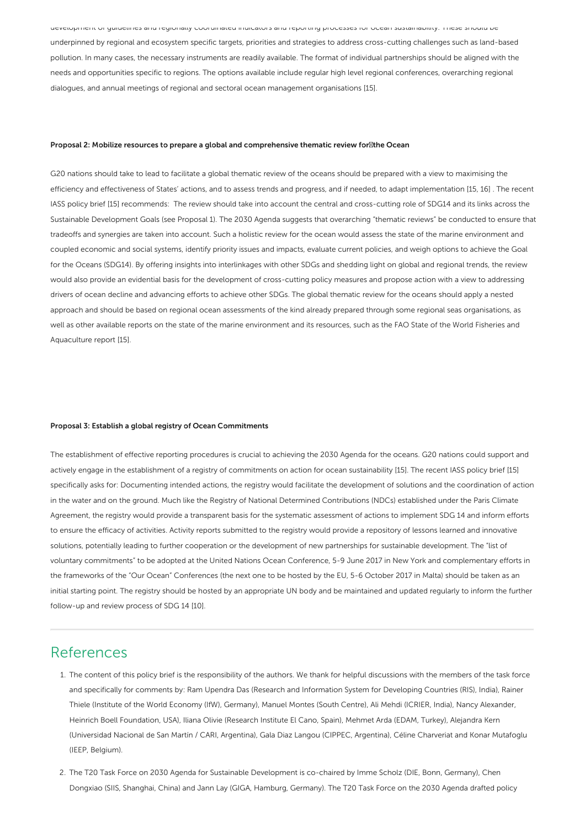development of guidelines and regionally coordinated indicators and reporting processes for ocean sustainability. These should be underpinned by regional and ecosystem specific targets, priorities and strategies to address cross-cutting challenges such as land-based pollution. In many cases, the necessary instruments are readily available. The format of individual partnerships should be aligned with the needs and opportunities specific to regions. The options available include regular high level regional conferences, overarching regional dialogues, and annual meetings of regional and sectoral ocean management organisations [15].

#### Proposal 2: Mobilize resources to prepare a global and comprehensive thematic review for the Ocean

G20 nations should take to lead to facilitate a global thematic review of the oceans should be prepared with a view to maximising the efficiency and effectiveness of States' actions, and to assess trends and progress, and if needed, to adapt implementation [15, 16] . The recent IASS policy brief [15] recommends: The review should take into account the central and cross-cutting role of SDG14 and its links across the Sustainable Development Goals (see Proposal 1). The 2030 Agenda suggests that overarching "thematic reviews" be conducted to ensure that tradeoffs and synergies are taken into account. Such a holistic review for the ocean would assess the state of the marine environment and coupled economic and social systems, identify priority issues and impacts, evaluate current policies, and weigh options to achieve the Goal for the Oceans (SDG14). By offering insights into interlinkages with other SDGs and shedding light on global and regional trends, the review would also provide an evidential basis for the development of cross-cutting policy measures and propose action with a view to addressing drivers of ocean decline and advancing efforts to achieve other SDGs. The global thematic review for the oceans should apply a nested approach and should be based on regional ocean assessments of the kind already prepared through some regional seas organisations, as well as other available reports on the state of the marine environment and its resources, such as the FAO State of the World Fisheries and Aquaculture report [15].

#### Proposal 3: Establish a global registry of Ocean Commitments

The establishment of effective reporting procedures is crucial to achieving the 2030 Agenda for the oceans. G20 nations could support and actively engage in the establishment of a registry of commitments on action for ocean sustainability [15]. The recent IASS policy brief [15] specifically asks for: Documenting intended actions, the registry would facilitate the development of solutions and the coordination of action in the water and on the ground. Much like the Registry of National Determined Contributions (NDCs) established under the Paris Climate Agreement, the registry would provide a transparent basis for the systematic assessment of actions to implement SDG 14 and inform efforts to ensure the efficacy of activities. Activity reports submitted to the registry would provide a repository of lessons learned and innovative solutions, potentially leading to further cooperation or the development of new partnerships for sustainable development. The "list of voluntary commitments" to be adopted at the United Nations Ocean Conference, 5-9 June 2017 in New York and complementary efforts in the frameworks of the "Our Ocean" Conferences (the next one to be hosted by the EU, 5-6 October 2017 in Malta) should be taken as an initial starting point. The registry should be hosted by an appropriate UN body and be maintained and updated regularly to inform the further follow-up and review process of SDG 14 [10].

## References

- 1. The content of this policy brief is the responsibility of the authors. We thank for helpful discussions with the members of the task force and specifically for comments by: Ram Upendra Das (Research and Information System for Developing Countries (RIS), India), Rainer Thiele (Institute of the World Economy (IfW), Germany), Manuel Montes (South Centre), Ali Mehdi (ICRIER, India), Nancy Alexander, Heinrich Boell Foundation, USA), Iliana Olivie (Research Institute El Cano, Spain), Mehmet Arda (EDAM, Turkey), Alejandra Kern (Universidad Nacional de San Martín / CARI, Argentina), Gala Diaz Langou (CIPPEC, Argentina), Céline Charveriat and Konar Mutafoglu (IEEP, Belgium).
- 2. The T20 Task Force on 2030 Agenda for Sustainable Development is co-chaired by Imme Scholz (DIE, Bonn, Germany), Chen Dongxiao (SIIS, Shanghai, China) and Jann Lay (GIGA, Hamburg, Germany). The T20 Task Force on the 2030 Agenda drafted policy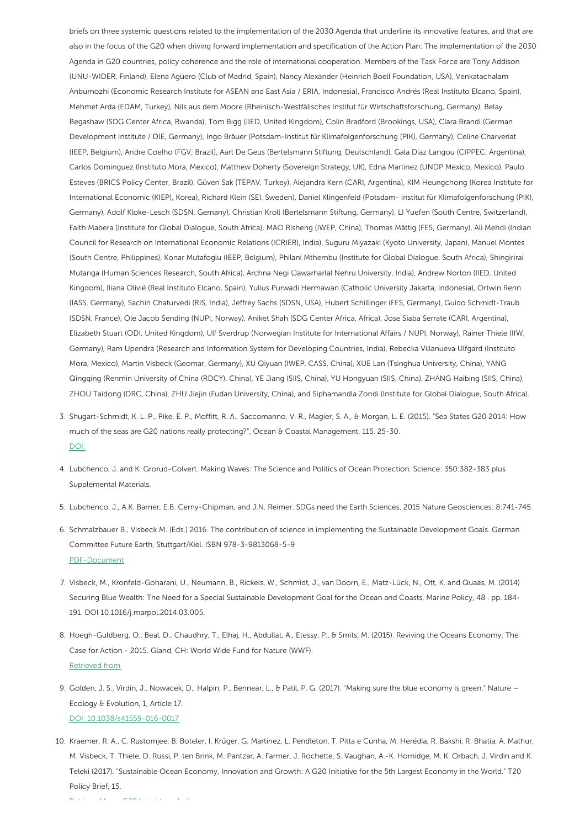briefs on three systemic questions related to the implementation of the 2030 Agenda that underline its innovative features, and that are also in the focus of the G20 when driving forward implementation and specification of the Action Plan: The implementation of the 2030 Agenda in G20 countries, policy coherence and the role of international cooperation. Members of the Task Force are Tony Addison (UNU-WIDER, Finland), Elena Agüero (Club of Madrid, Spain), Nancy Alexander (Heinrich Boell Foundation, USA), Venkatachalam Anbumozhi (Economic Research Institute for ASEAN and East Asia / ERIA, Indonesia), Francisco Andrés (Real Instituto Elcano, Spain), Mehmet Arda (EDAM, Turkey), Nils aus dem Moore (Rheinisch-Westfälisches Institut für Wirtschaftsforschung, Germany), Belay Begashaw (SDG Center Africa, Rwanda), Tom Bigg (IIED, United Kingdom), Colin Bradford (Brookings, USA), Clara Brandi (German Development Institute / DIE, Germany), Ingo Bräuer (Potsdam-Institut für Klimafolgenforschung (PIK), Germany), Celine Charveriat (IEEP, Belgium), Andre Coelho (FGV, Brazil), Aart De Geus (Bertelsmann Stiftung, Deutschland), Gala Diaz Langou (CIPPEC, Argentina), Carlos Dominguez (Instituto Mora, Mexico), Matthew Doherty (Sovereign Strategy, UK), Edna Martinez (UNDP Mexico, Mexico), Paulo Esteves (BRICS Policy Center, Brazil), Güven Sak (TEPAV, Turkey), Alejandra Kern (CARI, Argentina), KIM Heungchong (Korea Institute for International Economic (KIEP), Korea), Richard Klein (SEI, Sweden), Daniel Klingenfeld (Potsdam- Institut für Klimafolgenforschung (PIK), Germany), Adolf Kloke-Lesch (SDSN, Gemany), Christian Kroll (Bertelsmann Stiftung, Germany), LI Yuefen (South Centre, Switzerland), Faith Mabera (Institute for Global Dialogue, South Africa), MAO Risheng (IWEP, China), Thomas Mättig (FES, Germany), Ali Mehdi (Indian Council for Research on International Economic Relations (ICRIER), India), Suguru Miyazaki (Kyoto University, Japan), Manuel Montes (South Centre, Philippines), Konar Mutafoglu (IEEP, Belgium), Philani Mthembu (Institute for Global Dialogue, South Africa), Shingirirai Mutanga (Human Sciences Research, South Africa), Archna Negi (Jawarharlal Nehru University, India), Andrew Norton (IIED, United Kingdom), Iliana Olivié (Real Instituto Elcano, Spain), Yulius Purwadi Hermawan (Catholic University Jakarta, Indonesia), Ortwin Renn (IASS, Germany), Sachin Chaturvedi (RIS, India), Jeffrey Sachs (SDSN, USA), Hubert Schillinger (FES, Germany), Guido Schmidt-Traub (SDSN, France), Ole Jacob Sending (NUPI, Norway), Aniket Shah (SDG Center Africa, Africa), Jose Siaba Serrate (CARI, Argentina), Elizabeth Stuart (ODI, United Kingdom), Ulf Sverdrup (Norwegian Institute for International Affairs / NUPI, Norway), Rainer Thiele (IfW, Germany), Ram Upendra (Research and Information System for Developing Countries, India), Rebecka Villanueva Ulfgard (Instituto Mora, Mexico), Martin Visbeck (Geomar, Germany), XU Qiyuan (IWEP, CASS, China), XUE Lan (Tsinghua University, China), YANG Qingqing (Renmin University of China (RDCY), China), YE Jiang (SIIS, China), YU Hongyuan (SIIS, China), ZHANG Haibing (SIIS, China), ZHOU Taidong (DRC, China), ZHU Jiejin (Fudan University, China), and Siphamandla Zondi (Institute for Global Dialogue, South Africa).

- 3. Shugart-Schmidt, K. L. P., Pike, E. P., Moffitt, R. A., Saccomanno, V. R., Magier, S. A., & Morgan, L. E. (2015). "Sea States G20 2014: How much of the seas are G20 nations really protecting?", Ocean & Coastal Management, 115, 25-30. [DOI:](http://dx.doi.org/10.1016/j.ocecoaman.2015.05.020)
- 4. Lubchenco, J. and K. Grorud-Colvert. Making Waves: The Science and Politics of Ocean Protection. Science: 350:382-383 plus Supplemental Materials.
- 5. Lubchenco, J., A.K. Barner, E.B. Cerny-Chipman, and J.N. Reimer. SDGs need the Earth Sciences. 2015 Nature Geosciences: 8:741-745.
- 6. Schmalzbauer B., Visbeck M. (Eds.) 2016. The contribution of science in implementing the Sustainable Development Goals. German Committee Future Earth, Stuttgart/Kiel. ISBN 978-3-9813068-5-9 [PDF-Document](http://www.dkn-future-earth.org/data/mediapool/2016_report_contribution_science_v8_light_final_fin.pdf)
- 7. Visbeck, M., Kronfeld-Goharani, U., Neumann, B., Rickels, W., Schmidt, J., van Doorn, E., Matz-Lück, N., Ott, K. and Quaas, M. (2014) Securing Blue Wealth: The Need for a Special Sustainable Development Goal for the Ocean and Coasts, Marine Policy, 48 . pp. 184- 191. DOI 10.1016/j.marpol.2014.03.005.
- 8. Hoegh-Guldberg, O., Beal, D., Chaudhry, T., Elhaj, H., Abdullat, A., Etessy, P., & Smits, M. (2015). Reviving the Oceans Economy: The Case for Action - 2015. Gland, CH: World Wide Fund for Nature (WWF). [Retrieved](http://assets.worldwildlife.org/publications/790/files/original/Reviving_Ocean_Economy_REPORT_low_res.pdf) from
- 9. Golden, J. S., Virdin, J., Nowacek, D., Halpin, P., Bennear, L., & Patil, P. G. (2017). "Making sure the blue economy is green." Nature Ecology & Evolution, 1, Article 17. DOI: [10.1038/s41559-016-0017](http://www.nature.com/articles/s41559-016-0017)
- 10. Kraemer, R. A., C. Rustomjee, B. Boteler, I. Krüger, G. Martinez, L. Pendleton, T. Pitta e Cunha, M. Herédia, R. Bakshi, R. Bhatia, A. Mathur, M. Visbeck, T. Thiele, D. Russi, P. ten Brink, M. Pantzar, A. Farmer, J. Rochette, S. Vaughan, A.-K. Hornidge, M. K. Orbach, J. Virdin and K. Teleki (2017). "Sustainable Ocean Economy, Innovation and Growth: A G20 Initiative for the 5th Largest Economy in the World." T20 Policy Brief, 15.

Retrieved from G20 Insights website: